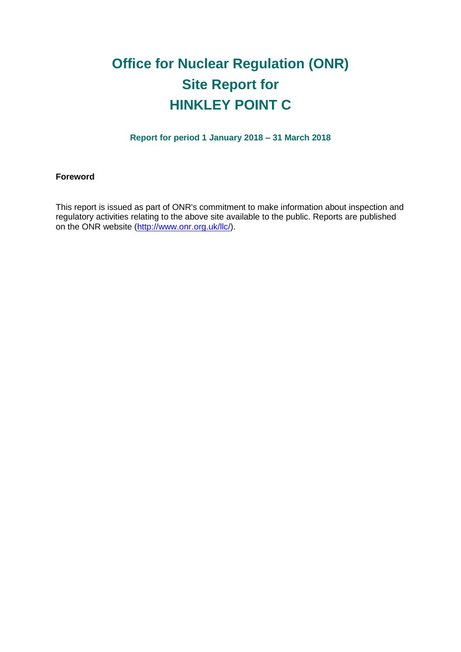# **Office for Nuclear Regulation (ONR) Site Report for HINKLEY POINT C**

**Report for period 1 January 2018 – 31 March 2018**

#### **Foreword**

This report is issued as part of ONR's commitment to make information about inspection and regulatory activities relating to the above site available to the public. Reports are published on the ONR website [\(http://www.onr.org.uk/llc/\)](http://www.onr.org.uk/llc/).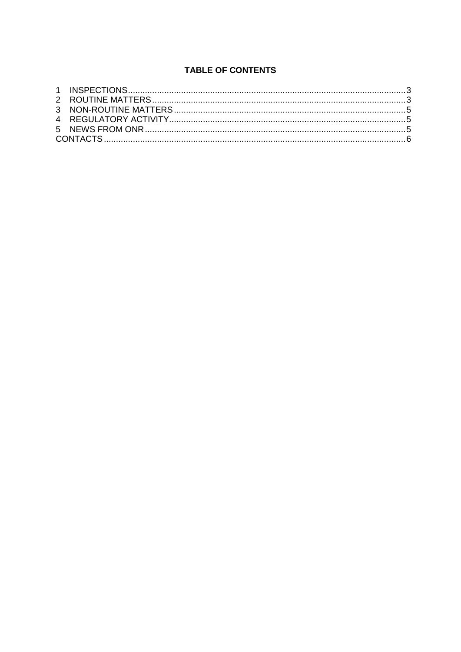## **TABLE OF CONTENTS**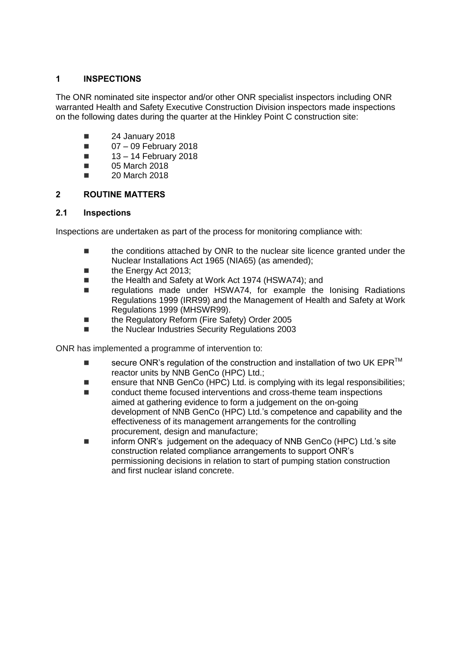## <span id="page-2-0"></span>**1 INSPECTIONS**

The ONR nominated site inspector and/or other ONR specialist inspectors including ONR warranted Health and Safety Executive Construction Division inspectors made inspections on the following dates during the quarter at the Hinkley Point C construction site:

- $\blacksquare$  24 January 2018
- $\Box$  07 09 February 2018
- $\blacksquare$  13 14 February 2018
- **05 March 2018**
- **20 March 2018**

## <span id="page-2-1"></span>**2 ROUTINE MATTERS**

#### **2.1 Inspections**

Inspections are undertaken as part of the process for monitoring compliance with:

- the conditions attached by ONR to the nuclear site licence granted under the Nuclear Installations Act 1965 (NIA65) (as amended);
- the Energy Act 2013;
- the Health and Safety at Work Act 1974 (HSWA74); and
- regulations made under HSWA74, for example the Ionising Radiations Regulations 1999 (IRR99) and the Management of Health and Safety at Work Regulations 1999 (MHSWR99).
- the Regulatory Reform (Fire Safety) Order 2005
- the Nuclear Industries Security Regulations 2003

ONR has implemented a programme of intervention to:

- secure ONR's regulation of the construction and installation of two UK EPR $^{TM}$ reactor units by NNB GenCo (HPC) Ltd.;
- ensure that NNB GenCo (HPC) Ltd. is complying with its legal responsibilities;
- conduct theme focused interventions and cross-theme team inspections aimed at gathering evidence to form a judgement on the on-going development of NNB GenCo (HPC) Ltd.'s competence and capability and the effectiveness of its management arrangements for the controlling procurement, design and manufacture;
- inform ONR's judgement on the adequacy of NNB GenCo (HPC) Ltd.'s site construction related compliance arrangements to support ONR's permissioning decisions in relation to start of pumping station construction and first nuclear island concrete.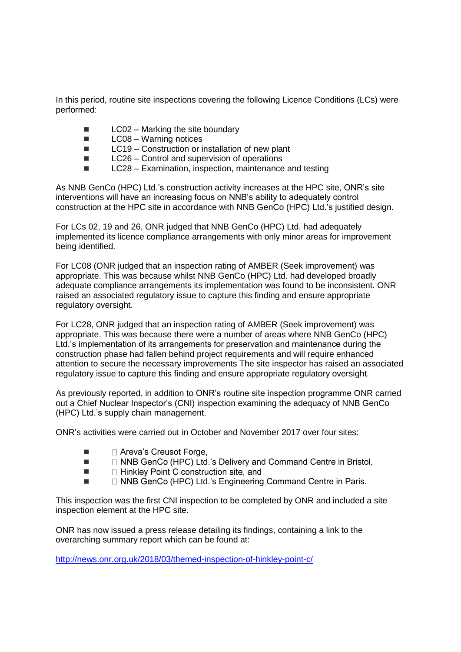In this period, routine site inspections covering the following Licence Conditions (LCs) were performed:

- $\blacksquare$  LC02 Marking the site boundary
- LC08 Warning notices
- $\blacksquare$  LC19 Construction or installation of new plant
- $\blacksquare$  LC26 Control and supervision of operations
- LC28 Examination, inspection, maintenance and testing

As NNB GenCo (HPC) Ltd.'s construction activity increases at the HPC site, ONR's site interventions will have an increasing focus on NNB's ability to adequately control construction at the HPC site in accordance with NNB GenCo (HPC) Ltd.'s justified design.

For LCs 02, 19 and 26, ONR judged that NNB GenCo (HPC) Ltd. had adequately implemented its licence compliance arrangements with only minor areas for improvement being identified.

For LC08 (ONR judged that an inspection rating of AMBER (Seek improvement) was appropriate. This was because whilst NNB GenCo (HPC) Ltd. had developed broadly adequate compliance arrangements its implementation was found to be inconsistent. ONR raised an associated regulatory issue to capture this finding and ensure appropriate regulatory oversight.

For LC28, ONR judged that an inspection rating of AMBER (Seek improvement) was appropriate. This was because there were a number of areas where NNB GenCo (HPC) Ltd.'s implementation of its arrangements for preservation and maintenance during the construction phase had fallen behind project requirements and will require enhanced attention to secure the necessary improvements The site inspector has raised an associated regulatory issue to capture this finding and ensure appropriate regulatory oversight.

As previously reported, in addition to ONR's routine site inspection programme ONR carried out a Chief Nuclear Inspector's (CNI) inspection examining the adequacy of NNB GenCo (HPC) Ltd.'s supply chain management.

ONR's activities were carried out in October and November 2017 over four sites:

- $\blacksquare$   $\blacksquare$  Areva's Creusot Forge,
- $\blacksquare$   $\Box$  NNB GenCo (HPC) Ltd.'s Delivery and Command Centre in Bristol,
- □ Hinkley Point C construction site, and  $\blacksquare$
- □ NNB GenCo (HPC) Ltd.'s Engineering Command Centre in Paris.

This inspection was the first CNI inspection to be completed by ONR and included a site inspection element at the HPC site.

ONR has now issued a press release detailing its findings, containing a link to the overarching summary report which can be found at:

<http://news.onr.org.uk/2018/03/themed-inspection-of-hinkley-point-c/>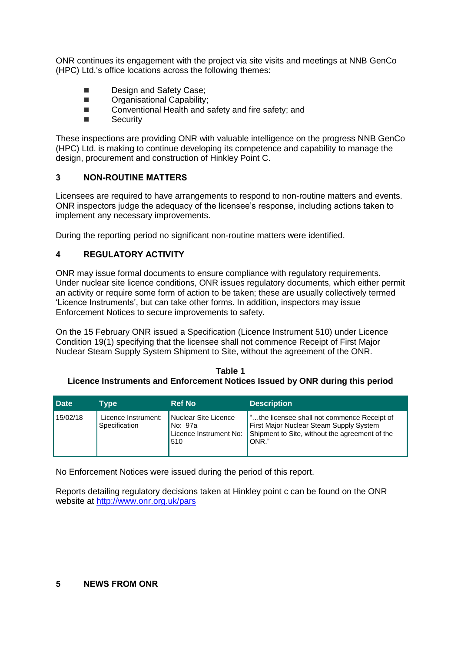ONR continues its engagement with the project via site visits and meetings at NNB GenCo (HPC) Ltd.'s office locations across the following themes:

- Design and Safety Case;
- **DECORGANISATION** Capability:
- Conventional Health and safety and fire safety; and
- Security

These inspections are providing ONR with valuable intelligence on the progress NNB GenCo (HPC) Ltd. is making to continue developing its competence and capability to manage the design, procurement and construction of Hinkley Point C.

## <span id="page-4-0"></span>**3 NON-ROUTINE MATTERS**

Licensees are required to have arrangements to respond to non-routine matters and events. ONR inspectors judge the adequacy of the licensee's response, including actions taken to implement any necessary improvements.

During the reporting period no significant non-routine matters were identified.

## <span id="page-4-1"></span>**4 REGULATORY ACTIVITY**

ONR may issue formal documents to ensure compliance with regulatory requirements. Under nuclear site licence conditions, ONR issues regulatory documents, which either permit an activity or require some form of action to be taken; these are usually collectively termed 'Licence Instruments', but can take other forms. In addition, inspectors may issue Enforcement Notices to secure improvements to safety.

On the 15 February ONR issued a Specification (Licence Instrument 510) under Licence Condition 19(1) specifying that the licensee shall not commence Receipt of First Major Nuclear Steam Supply System Shipment to Site, without the agreement of the ONR.

#### **Table 1 Licence Instruments and Enforcement Notices Issued by ONR during this period**

| <b>Date</b> | Type                                 | <b>Ref No</b>                                                      | <b>Description</b>                                                                                                                                |
|-------------|--------------------------------------|--------------------------------------------------------------------|---------------------------------------------------------------------------------------------------------------------------------------------------|
| 15/02/18    | Licence Instrument:<br>Specification | Nuclear Site Licence<br>  No: 97a<br>Licence Instrument No:<br>510 | "the licensee shall not commence Receipt of<br>First Major Nuclear Steam Supply System<br>Shipment to Site, without the agreement of the<br>ONR." |

No Enforcement Notices were issued during the period of this report.

Reports detailing regulatory decisions taken at Hinkley point c can be found on the ONR website at [http://www.onr.org.uk/pars](http://www.onr.org.uk/pars/index.htm)

#### <span id="page-4-2"></span>**5 NEWS FROM ONR**